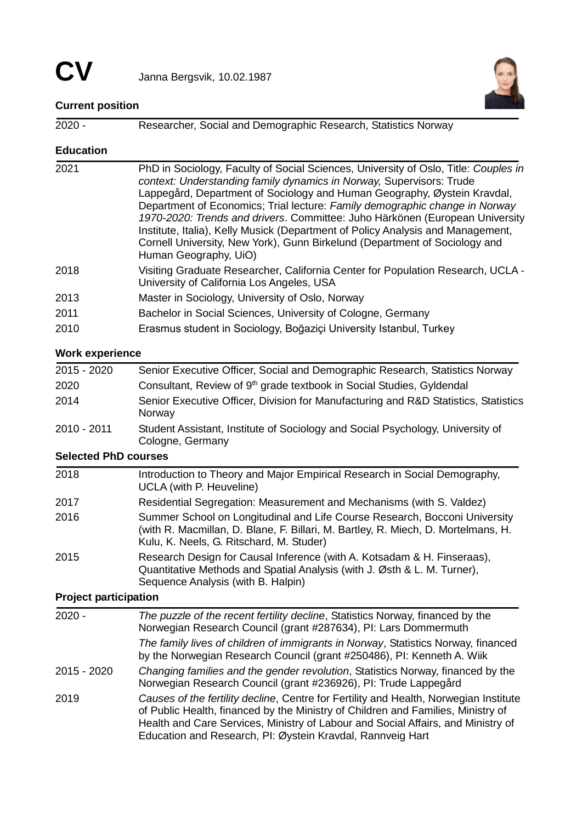

# **Current position**

| $2020 -$                     | Researcher, Social and Demographic Research, Statistics Norway                                                                                                                                                                                                                                                                                                                                                                                                                                                                                                                                   |  |  |  |
|------------------------------|--------------------------------------------------------------------------------------------------------------------------------------------------------------------------------------------------------------------------------------------------------------------------------------------------------------------------------------------------------------------------------------------------------------------------------------------------------------------------------------------------------------------------------------------------------------------------------------------------|--|--|--|
| <b>Education</b>             |                                                                                                                                                                                                                                                                                                                                                                                                                                                                                                                                                                                                  |  |  |  |
| 2021                         | PhD in Sociology, Faculty of Social Sciences, University of Oslo, Title: Couples in<br>context: Understanding family dynamics in Norway, Supervisors: Trude<br>Lappegård, Department of Sociology and Human Geography, Øystein Kravdal,<br>Department of Economics; Trial lecture: Family demographic change in Norway<br>1970-2020: Trends and drivers. Committee: Juho Härkönen (European University<br>Institute, Italia), Kelly Musick (Department of Policy Analysis and Management,<br>Cornell University, New York), Gunn Birkelund (Department of Sociology and<br>Human Geography, UiO) |  |  |  |
| 2018                         | Visiting Graduate Researcher, California Center for Population Research, UCLA -<br>University of California Los Angeles, USA                                                                                                                                                                                                                                                                                                                                                                                                                                                                     |  |  |  |
| 2013                         | Master in Sociology, University of Oslo, Norway                                                                                                                                                                                                                                                                                                                                                                                                                                                                                                                                                  |  |  |  |
| 2011                         | Bachelor in Social Sciences, University of Cologne, Germany                                                                                                                                                                                                                                                                                                                                                                                                                                                                                                                                      |  |  |  |
| 2010                         | Erasmus student in Sociology, Boğaziçi University Istanbul, Turkey                                                                                                                                                                                                                                                                                                                                                                                                                                                                                                                               |  |  |  |
| <b>Work experience</b>       |                                                                                                                                                                                                                                                                                                                                                                                                                                                                                                                                                                                                  |  |  |  |
| 2015 - 2020                  | Senior Executive Officer, Social and Demographic Research, Statistics Norway                                                                                                                                                                                                                                                                                                                                                                                                                                                                                                                     |  |  |  |
| 2020                         | Consultant, Review of 9 <sup>th</sup> grade textbook in Social Studies, Gyldendal                                                                                                                                                                                                                                                                                                                                                                                                                                                                                                                |  |  |  |
| 2014                         | Senior Executive Officer, Division for Manufacturing and R&D Statistics, Statistics<br>Norway                                                                                                                                                                                                                                                                                                                                                                                                                                                                                                    |  |  |  |
| 2010 - 2011                  | Student Assistant, Institute of Sociology and Social Psychology, University of<br>Cologne, Germany                                                                                                                                                                                                                                                                                                                                                                                                                                                                                               |  |  |  |
| <b>Selected PhD courses</b>  |                                                                                                                                                                                                                                                                                                                                                                                                                                                                                                                                                                                                  |  |  |  |
| 2018                         | Introduction to Theory and Major Empirical Research in Social Demography,<br><b>UCLA</b> (with P. Heuveline)                                                                                                                                                                                                                                                                                                                                                                                                                                                                                     |  |  |  |
| 2017                         | Residential Segregation: Measurement and Mechanisms (with S. Valdez)                                                                                                                                                                                                                                                                                                                                                                                                                                                                                                                             |  |  |  |
| 2016                         | Summer School on Longitudinal and Life Course Research, Bocconi University<br>(with R. Macmillan, D. Blane, F. Billari, M. Bartley, R. Miech, D. Mortelmans, H.<br>Kulu, K. Neels, G. Ritschard, M. Studer)                                                                                                                                                                                                                                                                                                                                                                                      |  |  |  |
| 2015                         | Research Design for Causal Inference (with A. Kotsadam & H. Finseraas),<br>Quantitative Methods and Spatial Analysis (with J. Østh & L. M. Turner),<br>Sequence Analysis (with B. Halpin)                                                                                                                                                                                                                                                                                                                                                                                                        |  |  |  |
| <b>Project participation</b> |                                                                                                                                                                                                                                                                                                                                                                                                                                                                                                                                                                                                  |  |  |  |
| 2020 -                       | The puzzle of the recent fertility decline, Statistics Norway, financed by the                                                                                                                                                                                                                                                                                                                                                                                                                                                                                                                   |  |  |  |
|                              | Norwegian Research Council (grant #287634), PI: Lars Dommermuth                                                                                                                                                                                                                                                                                                                                                                                                                                                                                                                                  |  |  |  |
|                              | The family lives of children of immigrants in Norway, Statistics Norway, financed<br>by the Norwegian Research Council (grant #250486), PI: Kenneth A. Wiik                                                                                                                                                                                                                                                                                                                                                                                                                                      |  |  |  |
| 2015 - 2020                  | Changing families and the gender revolution, Statistics Norway, financed by the<br>Norwegian Research Council (grant #236926), PI: Trude Lappegård                                                                                                                                                                                                                                                                                                                                                                                                                                               |  |  |  |
| 2019                         | Causes of the fertility decline, Centre for Fertility and Health, Norwegian Institute<br>of Public Health, financed by the Ministry of Children and Families, Ministry of<br>Health and Care Services, Ministry of Labour and Social Affairs, and Ministry of<br>Education and Research, PI: Øystein Kravdal, Rannveig Hart                                                                                                                                                                                                                                                                      |  |  |  |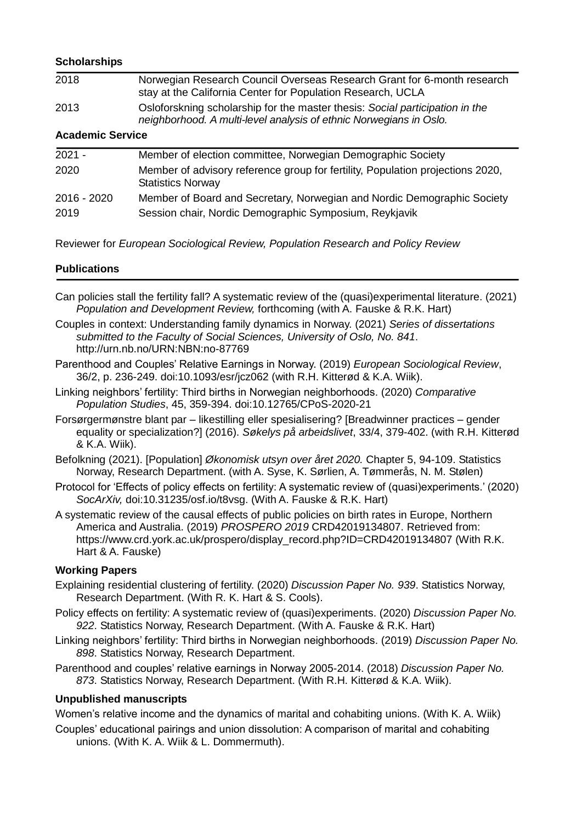# **Scholarships**

| 2018                    | Norwegian Research Council Overseas Research Grant for 6-month research<br>stay at the California Center for Population Research, UCLA             |  |
|-------------------------|----------------------------------------------------------------------------------------------------------------------------------------------------|--|
| 2013                    | Osloforskning scholarship for the master thesis: Social participation in the<br>neighborhood. A multi-level analysis of ethnic Norwegians in Oslo. |  |
| <b>Academic Service</b> |                                                                                                                                                    |  |

| $2021 -$    | Member of election committee, Norwegian Demographic Society                                                |
|-------------|------------------------------------------------------------------------------------------------------------|
| 2020        | Member of advisory reference group for fertility, Population projections 2020,<br><b>Statistics Norway</b> |
| 2016 - 2020 | Member of Board and Secretary, Norwegian and Nordic Demographic Society                                    |
| 2019        | Session chair, Nordic Demographic Symposium, Reykjavik                                                     |

Reviewer for *European Sociological Review, Population Research and Policy Review*

# **Publications**

- Can policies stall the fertility fall? A systematic review of the (quasi)experimental literature. (2021) *Population and Development Review,* forthcoming (with A. Fauske & R.K. Hart)
- Couples in context: Understanding family dynamics in Norway. (2021) *Series of dissertations submitted to the Faculty of Social Sciences, University of Oslo, No. 841*. http://urn.nb.no/URN:NBN:no-87769
- Parenthood and Couples' Relative Earnings in Norway. (2019) *European Sociological Review*, 36/2, p. 236-249. doi:10.1093/esr/jcz062 (with R.H. Kitterød & K.A. Wiik).
- Linking neighbors' fertility: Third births in Norwegian neighborhoods. (2020) *Comparative Population Studies*, 45, 359-394. doi:10.12765/CPoS-2020-21
- Forsørgermønstre blant par likestilling eller spesialisering? [Breadwinner practices gender equality or specialization?] (2016). *Søkelys på arbeidslivet*, 33/4, 379-402. (with R.H. Kitterød & K.A. Wiik).
- Befolkning (2021). [Population] *Økonomisk utsyn over året 2020.* Chapter 5, 94-109. Statistics Norway, Research Department. (with A. Syse, K. Sørlien, A. Tømmerås, N. M. Stølen)
- Protocol for 'Effects of policy effects on fertility: A systematic review of (quasi)experiments.' (2020) *SocArXiv,* doi:10.31235/osf.io/t8vsg. (With A. Fauske & R.K. Hart)
- A systematic review of the causal effects of public policies on birth rates in Europe, Northern America and Australia. (2019) *PROSPERO 2019* CRD42019134807. Retrieved from: https://www.crd.york.ac.uk/prospero/display\_record.php?ID=CRD42019134807 (With R.K.) Hart & A. Fauske)

# **Working Papers**

- Explaining residential clustering of fertility. (2020) *Discussion Paper No. 939*. Statistics Norway, Research Department. (With R. K. Hart & S. Cools).
- Policy effects on fertility: A systematic review of (quasi)experiments. (2020) *Discussion Paper No. 922*. Statistics Norway, Research Department. (With A. Fauske & R.K. Hart)
- Linking neighbors' fertility: Third births in Norwegian neighborhoods. (2019) *Discussion Paper No. 898*. Statistics Norway, Research Department.
- Parenthood and couples' relative earnings in Norway 2005-2014. (2018) *Discussion Paper No. 873*. Statistics Norway, Research Department. (With R.H. Kitterød & K.A. Wiik).

# **Unpublished manuscripts**

Women's relative income and the dynamics of marital and cohabiting unions. (With K. A. Wiik)

Couples' educational pairings and union dissolution: A comparison of marital and cohabiting unions. (With K. A. Wiik & L. Dommermuth).